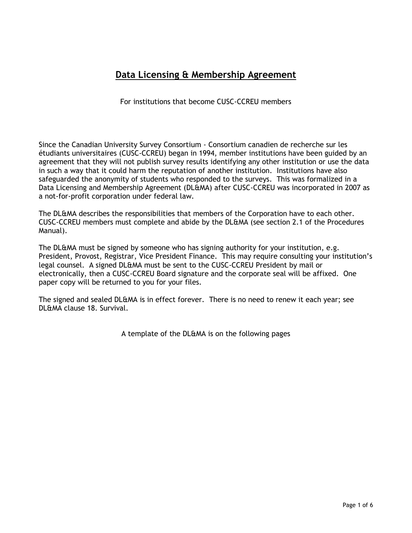## **Data Licensing & Membership Agreement**

For institutions that become CUSC-CCREU members

Since the Canadian University Survey Consortium - Consortium canadien de recherche sur les étudiants universitaires (CUSC-CCREU) began in 1994, member institutions have been guided by an agreement that they will not publish survey results identifying any other institution or use the data in such a way that it could harm the reputation of another institution. Institutions have also safeguarded the anonymity of students who responded to the surveys. This was formalized in a Data Licensing and Membership Agreement (DL&MA) after CUSC-CCREU was incorporated in 2007 as a not-for-profit corporation under federal law.

The DL&MA describes the responsibilities that members of the Corporation have to each other. CUSC-CCREU members must complete and abide by the DL&MA (see section 2.1 of the Procedures Manual).

The DL&MA must be signed by someone who has signing authority for your institution, e.g. President, Provost, Registrar, Vice President Finance. This may require consulting your institution's legal counsel. A signed DL&MA must be sent to the CUSC-CCREU President by mail or electronically, then a CUSC-CCREU Board signature and the corporate seal will be affixed. One paper copy will be returned to you for your files.

The signed and sealed DL&MA is in effect forever. There is no need to renew it each year; see DL&MA clause 18. Survival.

A template of the DL&MA is on the following pages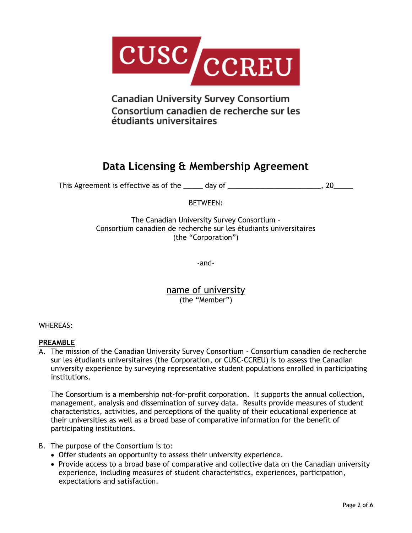

**Canadian University Survey Consortium** Consortium canadien de recherche sur les étudiants universitaires

# **Data Licensing & Membership Agreement**

This Agreement is effective as of the \_\_\_\_\_ day of \_\_\_\_\_\_\_\_\_\_\_\_\_\_\_\_\_\_\_\_\_\_\_\_\_, 20\_\_\_\_\_\_

BETWEEN:

The Canadian University Survey Consortium – Consortium canadien de recherche sur les étudiants universitaires (the "Corporation")

-and-

name of university (the "Member")

WHEREAS:

## **PREAMBLE**

A. The mission of the Canadian University Survey Consortium - Consortium canadien de recherche sur les étudiants universitaires (the Corporation, or CUSC-CCREU) is to assess the Canadian university experience by surveying representative student populations enrolled in participating institutions.

The Consortium is a membership not-for-profit corporation. It supports the annual collection, management, analysis and dissemination of survey data. Results provide measures of student characteristics, activities, and perceptions of the quality of their educational experience at their universities as well as a broad base of comparative information for the benefit of participating institutions.

- B. The purpose of the Consortium is to:
	- Offer students an opportunity to assess their university experience.
	- Provide access to a broad base of comparative and collective data on the Canadian university experience, including measures of student characteristics, experiences, participation, expectations and satisfaction.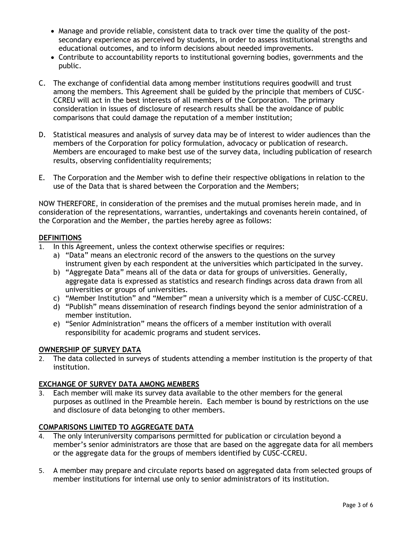- Manage and provide reliable, consistent data to track over time the quality of the postsecondary experience as perceived by students, in order to assess institutional strengths and educational outcomes, and to inform decisions about needed improvements.
- Contribute to accountability reports to institutional governing bodies, governments and the public.
- C. The exchange of confidential data among member institutions requires goodwill and trust among the members. This Agreement shall be guided by the principle that members of CUSC-CCREU will act in the best interests of all members of the Corporation. The primary consideration in issues of disclosure of research results shall be the avoidance of public comparisons that could damage the reputation of a member institution;
- D. Statistical measures and analysis of survey data may be of interest to wider audiences than the members of the Corporation for policy formulation, advocacy or publication of research. Members are encouraged to make best use of the survey data, including publication of research results, observing confidentiality requirements;
- E. The Corporation and the Member wish to define their respective obligations in relation to the use of the Data that is shared between the Corporation and the Members;

NOW THEREFORE, in consideration of the premises and the mutual promises herein made, and in consideration of the representations, warranties, undertakings and covenants herein contained, of the Corporation and the Member, the parties hereby agree as follows:

## **DEFINITIONS**

- In this Agreement, unless the context otherwise specifies or requires:
	- a) "Data" means an electronic record of the answers to the questions on the survey instrument given by each respondent at the universities which participated in the survey.
	- b) "Aggregate Data" means all of the data or data for groups of universities. Generally, aggregate data is expressed as statistics and research findings across data drawn from all universities or groups of universities.
	- c) "Member Institution" and "Member" mean a university which is a member of CUSC-CCREU.
	- d) "Publish" means dissemination of research findings beyond the senior administration of a member institution.
	- e) "Senior Administration" means the officers of a member institution with overall responsibility for academic programs and student services.

## **OWNERSHIP OF SURVEY DATA**

2. The data collected in surveys of students attending a member institution is the property of that institution.

#### **EXCHANGE OF SURVEY DATA AMONG MEMBERS**

3. Each member will make its survey data available to the other members for the general purposes as outlined in the Preamble herein. Each member is bound by restrictions on the use and disclosure of data belonging to other members.

#### **COMPARISONS LIMITED TO AGGREGATE DATA**

- 4. The only interuniversity comparisons permitted for publication or circulation beyond a member's senior administrators are those that are based on the aggregate data for all members or the aggregate data for the groups of members identified by CUSC-CCREU.
- 5. A member may prepare and circulate reports based on aggregated data from selected groups of member institutions for internal use only to senior administrators of its institution.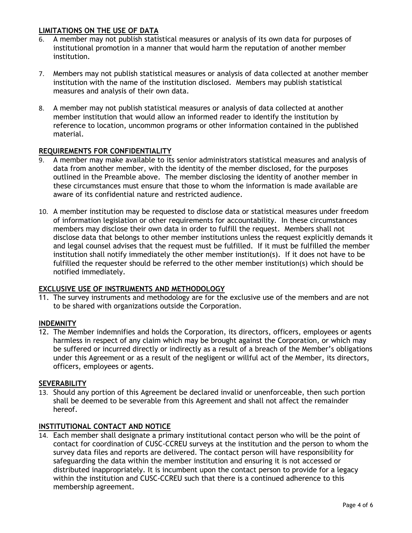## **LIMITATIONS ON THE USE OF DATA**

- 6. A member may not publish statistical measures or analysis of its own data for purposes of institutional promotion in a manner that would harm the reputation of another member institution.
- 7. Members may not publish statistical measures or analysis of data collected at another member institution with the name of the institution disclosed. Members may publish statistical measures and analysis of their own data.
- 8. A member may not publish statistical measures or analysis of data collected at another member institution that would allow an informed reader to identify the institution by reference to location, uncommon programs or other information contained in the published material.

#### **REQUIREMENTS FOR CONFIDENTIALITY**

- 9. A member may make available to its senior administrators statistical measures and analysis of data from another member, with the identity of the member disclosed, for the purposes outlined in the Preamble above. The member disclosing the identity of another member in these circumstances must ensure that those to whom the information is made available are aware of its confidential nature and restricted audience.
- 10. A member institution may be requested to disclose data or statistical measures under freedom of information legislation or other requirements for accountability. In these circumstances members may disclose their own data in order to fulfill the request. Members shall not disclose data that belongs to other member institutions unless the request explicitly demands it and legal counsel advises that the request must be fulfilled. If it must be fulfilled the member institution shall notify immediately the other member institution(s). If it does not have to be fulfilled the requester should be referred to the other member institution(s) which should be notified immediately.

#### **EXCLUSIVE USE OF INSTRUMENTS AND METHODOLOGY**

11. The survey instruments and methodology are for the exclusive use of the members and are not to be shared with organizations outside the Corporation.

#### **INDEMNITY**

12. The Member indemnifies and holds the Corporation, its directors, officers, employees or agents harmless in respect of any claim which may be brought against the Corporation, or which may be suffered or incurred directly or indirectly as a result of a breach of the Member's obligations under this Agreement or as a result of the negligent or willful act of the Member, its directors, officers, employees or agents.

#### **SEVERABILITY**

13. Should any portion of this Agreement be declared invalid or unenforceable, then such portion shall be deemed to be severable from this Agreement and shall not affect the remainder hereof.

#### **INSTITUTIONAL CONTACT AND NOTICE**

14. Each member shall designate a primary institutional contact person who will be the point of contact for coordination of CUSC-CCREU surveys at the institution and the person to whom the survey data files and reports are delivered. The contact person will have responsibility for safeguarding the data within the member institution and ensuring it is not accessed or distributed inappropriately. It is incumbent upon the contact person to provide for a legacy within the institution and CUSC-CCREU such that there is a continued adherence to this membership agreement.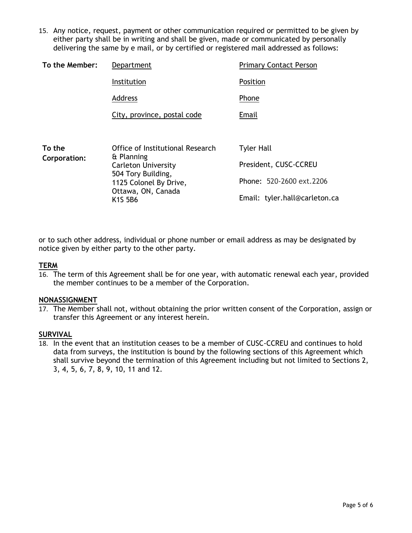15. Any notice, request, payment or other communication required or permitted to be given by either party shall be in writing and shall be given, made or communicated by personally delivering the same by e mail, or by certified or registered mail addressed as follows:

| To the Member:                   | Department                                     | <b>Primary Contact Person</b> |
|----------------------------------|------------------------------------------------|-------------------------------|
|                                  | Institution                                    | Position                      |
|                                  | Address                                        | Phone                         |
|                                  | City, province, postal code                    | Email                         |
|                                  |                                                |                               |
| To the<br>$C$ ornoration $\cdot$ | Office of Institutional Research<br>& Planning | <b>Tyler Hall</b>             |

| Corporation: | & Planning                                            |                               |
|--------------|-------------------------------------------------------|-------------------------------|
|              | <b>Carleton University</b>                            | President, CUSC-CCREU         |
|              | 504 Tory Building,<br>1125 Colonel By Drive,          | Phone: 520-2600 ext.2206      |
|              | Ottawa, ON, Canada<br>K <sub>1</sub> S <sub>5B6</sub> | Email: tyler.hall@carleton.ca |

or to such other address, individual or phone number or email address as may be designated by notice given by either party to the other party.

#### **TERM**

16. The term of this Agreement shall be for one year, with automatic renewal each year, provided the member continues to be a member of the Corporation.

#### **NONASSIGNMENT**

17. The Member shall not, without obtaining the prior written consent of the Corporation, assign or transfer this Agreement or any interest herein.

### **SURVIVAL**

18. In the event that an institution ceases to be a member of CUSC-CCREU and continues to hold data from surveys, the institution is bound by the following sections of this Agreement which shall survive beyond the termination of this Agreement including but not limited to Sections 2, 3, 4, 5, 6, 7, 8, 9, 10, 11 and 12.